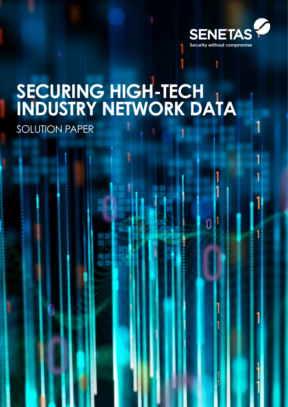

# **SECURING HIGH-TECH INDUSTRY NETWORK DATA**

SOLUTION PAPER

SECURING HI-TECH INDUSTRY DATA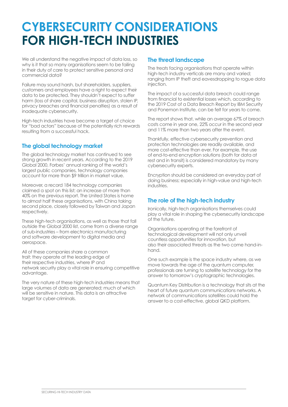## **CYBERSECURITY CONSIDERATIONS FOR HIGH-TECH INDUSTRIES**

We all understand the negative impact of data loss, so why is it that so many organisations seem to be failing in their duty of care to protect sensitive personal and commercial data?

Failure may sound harsh, but shareholders, suppliers, customers and employees have a right to expect their data to be protected. They shouldn't expect to suffer harm (loss of share capital, business disruption, stolen IP, privacy breaches and financial penalties) as a result of inadequate cybersecurity.

High-tech industries have become a target of choice for "bad actors" because of the potentially rich rewards resulting from a successful hack.

## **The global technology market**

The global technology market has continued to see strong growth in recent years. According to the 2019 Global 2000, Forbes' annual ranking of the world's largest public companies, technology companies account for more than \$9 trillion in market value.

Moreover, a record 184 technology companies claimed a spot on this list; an increase of more than 40% on the previous report. The United States is home to almost half these organisations, with China taking second place, closely followed by Taiwan and Japan respectively.

These high-tech organisations, as well as those that fall outside the Global 2000 list, come from a diverse range of sub-industries – from electronics manufacturing and software development to digital media and aerospace.

All of these companies share a common trait: they operate at the leading edge of their respective industries, where IP and network security play a vital role in ensuring competitive advantage.

The very nature of these high-tech industries means that large volumes of data are generated; much of which will be sensitive in nature. This data is an attractive target for cyber-criminals.

### **The threat landscape**

The treats facing organisations that operate within high-tech industry verticals are many and varied; ranging from IP theft and eavesdropping to rogue data injection.

The impact of a successful data breach could range from financial to existential losses which, according to the 2019 Cost of a Data Breach Report by IBM Security and Ponemon Institute, can be felt for years to come.

The report shows that, while an average 67% of breach costs come in year one, 22% occur in the second year and 11% more than two years after the event.

Thankfully, effective cybersecurity prevention and protection technologies are readily available, and more cost-effective than ever. For example, the use of end-to-end encryption solutions (both for data at rest and in transit) is considered mandatory by many cybersecurity experts.

Encryption should be considered an everyday part of doing business; especially in high-value and high-tech industries.

## **The role of the high-tech industry**

Ironically, high-tech organisations themselves could play a vital role in shaping the cybersecurity landscape of the future.

Organisations operating at the forefront of technological development will not only unveil countless opportunities for innovation, but also their associated threats as the two come hand-inhand.

One such example is the space industry where, as we move towards the age of the quantum computer, professionals are turning to satellite technology for the answer to tomorrow's cryptographic technologies.

Quantum Key Distribution is a technology that sits at the heart of future quantum communications networks. A network of communications satellites could hold the answer to a cost-effective, global QKD platform.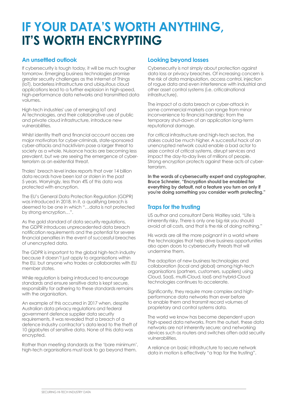## **IF YOUR DATA'S WORTH ANYTHING, IT'S WORTH ENCRYPTING**

## **An unsettled outlook**

If cybersecurity is tough today, it will be much tougher tomorrow. Emerging business technologies promise greater security challenges as the Internet of Things (IoT), borderless infrastructure and ubiquitous cloud applications lead to a further explosion in high-speed, high-performance data networks and transmitted data volumes.

High-tech industries' use of emerging IoT and AI technologies, and their collaborative use of public and private cloud infrastructure, introduce new vulnerabilities.

Whilst identity theft and financial account access are major motivators for cyber-criminals, state-sponsored cyber-attacks and hacktivism pose a larger threat to society as a whole. Nuisance hacks are becoming less prevalent, but we are seeing the emergence of cyberterrorism as an existential threat.

Thales' breach level index reports that over 14 billion data records have been lost or stolen in the past 5 years. Worryingly, less than 4% of this data was protected with encryption.

The EU's General Data Protection Regulation (GDPR) was introduced in 2018. In it, a qualifying breach is deemed to be one in which "…data is not protected by strong encryption…".

As the gold standard of data security regulations, the GDPR introduces unprecedented data breach notification requirements and the potential for severe financial penalties in the event of successful breaches of unencrypted data.

The GDPR is important to the global high-tech industry because it doesn't just apply to organisations within the EU, but anyone who trades or collaborates with EU member states.

While regulation is being introduced to encourage standards and ensure sensitive data is kept secure, responsibility for adhering to these standards remains with the organisation.

An example of this occurred in 2017 when, despite Australian data privacy regulations and federal government defence supplier data security requirements, it was revealed that a breach of a defence Industry contractor's data lead to the theft of 10 gigabytes of sensitive data. None of this data was encrypted.

Rather than meeting standards as the 'bare minimum', high-tech organisations must look to go beyond them.

### **Looking beyond losses**

Cybersecurity is not simply about protection against data loss or privacy breaches. Of increasing concern is the risk of data manipulation, access control, injection of rogue data and even interference with industrial and other asset control systems (i.e. criticalnational infrastructure).

The impact of a data breach or cyber-attack in some commercial markets can range from minor inconvenience to financial hardship; from the temporary shut-down of an application long-term reputational damage.

For critical infrastructure and high-tech sectors, the stakes could be much higher. A successful hack of an unencrypted network could enable a bad actor to seize control of critical systems, disrupt services and impact the day-to-day lives of millions of people. Strong encryption protects against these acts of cyberterrorism.

**In the words of cybersecurity expert and cryptographer, Bruce Schneier, "Encryption should be enabled for everything by default, not a feature you turn on only if you're doing something you consider worth protecting."**

## **Traps for the trusting**

US author and consultant Denis Waitley said, "Life is inherently risky. There is only one big risk you should avoid at all costs, and that is the risk of doing nothing."

His words are all the more poignant in a world where the technologies that help drive business opportunities also open doors to cybersecurity threats that will undermine them.

The adoption of new business technologies and collaboration (local and global) among high-tech organisations (partners, customers, suppliers) using Cloud, SaaS, multi-Cloud, IaaS and hybrid-Cloud technologies continues to accelerate.

Significantly, they require more complex and highperformance data networks than ever before to enable them and transmit record volumes of proprietary and control systems data.

The world we know has become dependent upon high-speed data networks. From the outset, these data networks are not inherently secure; and networking devices such as routers and switches often add security vulnerabilities.

A reliance on basic infrastructure to secure network data in motion is effectively "a trap for the trusting".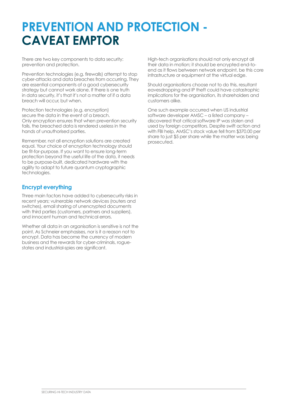## **PREVENTION AND PROTECTION - CAVEAT EMPTOR**

There are two key components to data security: prevention and protection.

Prevention technologies (e.g. firewalls) attempt to stop cyber-attacks and data breaches from occurring. They are essential components of a good cybersecurity strategy but cannot work alone. If there is one truth in data security, it's that it's not a matter of if a data breach will occur, but when.

Protection technologies (e.g. encryption) secure the data in the event of a breach. Only encryption ensures that when prevention security fails, the breached data is rendered useless in the hands of unauthorised parties.

Remember, not all encryption solutions are created equal. Your choice of encryption technology should be fit-for-purpose. If you want to ensure long-term protection beyond the useful life of the data, it needs to be purpose-built, dedicated hardware with the agility to adapt to future quantum cryptographic technologies.

## **Encrypt everything**

Three main factors have added to cybersecurity risks in recent years; vulnerable network devices (routers and switches), email sharing of unencrypted documents with third parties (customers, partners and suppliers), and innocent human and technical errors.

Whether all data in an organisation is sensitive is not the point. As Schneier emphasises, nor is it a reason not to encrypt. Data has become the currency of modern business and the rewards for cyber-criminals, roguestates and industrial-spies are significant.

High-tech organisations should not only encrypt all their data in motion; it should be encrypted end-toend as it flows between network endpoint, be this core infrastructure or equipment at the virtual edge.

Should organisations choose not to do this, resultant eavesdropping and IP theft could have catastrophic implications for the organisation, its shareholders and customers alike.

One such example occurred when US industrial software developer AMSC – a listed company – discovered that critical software IP was stolen and used by foreign competitors. Despite swift action and with FBI help, AMSC's stock value fell from \$370.00 per share to just \$5 per share while the matter was being prosecuted.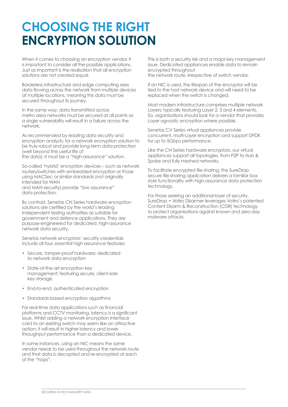## **CHOOSING THE RIGHT ENCRYPTION SOLUTION**

When it comes to choosing an encryption vendor, it is important to consider all the possible applications. Just as important is the realisation that all encryption solutions are not created equal.

Borderless infrastructure and edge computing sees data flowing across the network from multiple devices at multiple locations, meaning this data must be secured throughout its journey.

In the same way, data transmitted across metro area networks must be secured at all points as a single vulnerability will result in a failure across the network.

As recommended by leading data security and encryption analysts; for a network encryption solution to be truly robust and provide long-term data protection (well beyond the useful life of the data), it must be a "high-assurance" solution.

So-called 'hybrid' encryption devices – such as network routers/switches with embedded encryption or those using MACSec or similar standards (not originally intended for WAN and MAN security) provide "low assurance" data protection.

By contrast, Senetas CN Series hardware encryption solutions are certified by the world's leading independent testing authorities as suitable for government and defence applications. They are purpose-engineered for dedicated, high-assurance network data security.

Senetas network encryptors' security credentials include all four, essential high-assurance features:

- Secure, tamper-proof hardware; dedicated to network data encryption
- State-of-the-art encryption key management; featuring secure, client-side key storage
- End-to-end, authenticated encryption
- Standards-based encryption algorithms

For real-time data applications such as financial platforms and CCTV monitoring, latency is a significant issue. Whilst adding a network encryption interface card to an existing switch may seem like an attractive option; it will result in higher latency and lower throughput performance than a dedicated device.

In some instances, using an NIC means the same vendor needs to be used throughout the network route and that data is decrypted and re-encrypted at each of the "hops".

This is both a security risk and a major key management issue. Dedicated appliances enable data to remain encrypted throughout the network route, irrespective of switch vendor.

If an NIC is used, the lifespan of the encryptor will be tied to the host network device and will need to be replaced when the switch is changed.

Most modern infrastructure comprises multiple network Layers; typically featuring Layer 2, 3 and 4 elements. So, organisations should look for a vendor that provides Layer agnostic encryption where possible.

Senetas CV Series virtual appliances provide concurrent, multi-Layer encryption and support DPDK for up to 5Gbps performance.

Like the CN Series hardware encryptors, our virtual appliances support all topologies, from P2P to Hub & Spoke and fully meshed networks.

To facilitate encrypted file-sharing, the SureDrop secure file-sharing application delivers a familiar box style functionality with high-assurance data protection technology.

For those seeking an additional layer of security, SureDrop + Votiro Disarmer leverages Votiro's patented Content Disarm & Reconstruction (CDR) technology to protect organisations against known and zero-day malware attacks.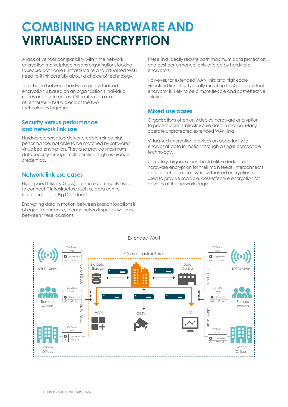## **COMBINING HARDWARE AND VIRTUALISED ENCRYPTION**

A lack of vendor compatibility within the network encryption marketplace means organisations looking to secure both core IT infrastructure and virtualised WAN need to think carefully about a choice of technology.

The choice between hardware and virtualised encryption is based on an organisation's individual needs and preferences. Often, it is not a case of 'either/or' – but a blend of the two technologies together.

### **Security versus performance and network link use**

Hardware encryptors deliver predetermined highperformance, not able to be matched by software/ virtualised encryption. They also provide maximum data security through multi-certified, high-assurance credentials.

## **Network link use cases**

High-speed links (>5Gbps) are more commonly used to connect IT infrastructure such as data centre interconnects, or Big Data feeds.

Encrypting data in motion between branch locations is of equal importance, though network speeds will vary between these locations.

These links ideally require both maximum data protection and best performance, only offered by hardware encryptors.

However, for extended WAN links and high-scale virtualised links that typically run at up to 5Gbps, a virtual encryptor is likely to be a more flexible and cost-effective solution.

### **Mixed use cases**

Organisations often only deploy hardware encryption to protect core IT infrastructure data in motion. Many operate unprotected extended WAN links.

Virtualised encryption provides an opportunity to encrypt all data in motion through a single compatible technology.

Ultimately, organisations should utilise dedicated hardware encryption for their main feeds, interconnects and branch locations, while virtualised encryption is used to provide scalable, cost-effective encryption for devices at the network edge.

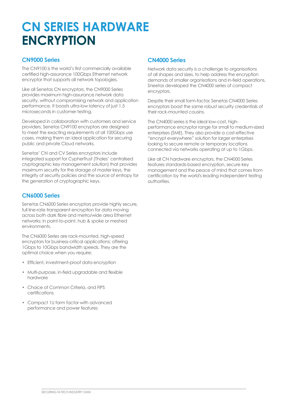## **CN SERIES HARDWARE ENCRYPTION**

## **CN9000 Series**

The CN9100 is the world's first commercially available certified high-assurance 100Gbps Ethernet network encryptor that supports all network topologies.

Like all Senetas CN encryptors, the CN9000 Series provides maximum high-assurance network data security, without compromising network and application performance. It boasts ultra-low latency of just 1.5 microseconds in customer testing.

Developed in collaboration with customers and service providers, Senetas CN9100 encryptors are designed to meet the exacting requirements of all 100Gbps use cases, making them an ideal application for securing public and private Cloud networks.

Senetas' CN and CV Series encryptors include integrated support for CypherTrust (Thales' centralised cryptographic key management solution) that provides maximum security for the storage of master keys, the integrity of security policies and the source of entropy for the generation of cryptographic keys.

## **CN6000 Series**

Senetas CN6000 Series encryptors provide highly secure, full line-rate transparent encryption for data moving across both dark fibre and metro/wide area Ethernet networks; in point-to-point, hub & spoke or meshed environments.

The CN6000 Series are rack-mounted, high-speed encryptors for business-critical applications; offering 1Gbps to 10Gbps bandwidth speeds. They are the optimal choice when you require:

- Efficient, investment-proof data encryption
- Multi-purpose, in-field upgradable and flexible hardware
- Choice of Common Criteria, and FIPS certifications
- Compact 1U form factor with advanced performance and power features

## **CN4000 Series**

Network data security is a challenge to organisations of all shapes and sizes, to help address the encryption demands of smaller organisations and in-field operations, Sneetas developed the CN4000 series of compact encryptors.

Despite their small form-factor, Senetas CN4000 Series encryptors boast the same robust security credentials of their rack-mounted cousins.

The CN4000 series is the ideal low-cost, highperformance encryptor range for small to medium-sized enterprises (SME). They also provide a cost-effective "encrypt everywhere" solution for larger enterprises looking to secure remote or temporary locations connected via networks operating at up to 1Gbps.

Like all CN hardware encryptors, the CN4000 Series features standards-based encryption, secure key management and the peace of mind that comes from certification by the world's leading independent testing authorities.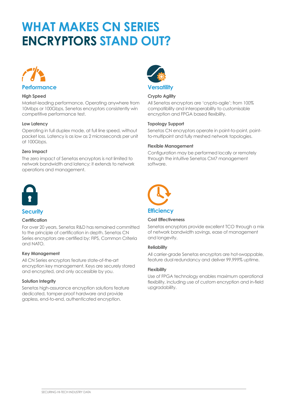## **WHAT MAKES CN SERIES ENCRYPTORS STAND OUT?**



#### **High Speed**

Market-leading performance. Operating anywhere from 10Mbps or 100Gbps, Senetas encryptors consistently win competitive performance test.

#### **Low Latency**

Operating in full duplex mode, at full line speed, without packet loss. Latency is as low as 2 microseconds per unit at 100Gbps.

#### **Zero Impact**

The zero impact of Senetas encryptors is not limited to network bandwidth and latency; it extends to network operations and management.



## **Security**

#### **Certification**

For over 20 years, Senetas R&D has remained committed to the principle of certification in depth. Senetas CN Series encryptors are certified by: FIPS, Common Criteria and NATO.

#### **Key Management**

All CN Series encryptors feature state-of-the-art encryption key management. Keys are securely stored and encrypted, and only accessible by you.

#### **Solution Integrity**

Senetas high-assurance encryption solutions feature dedicated, tamper-proof hardware and provide gapless, end-to-end, authenticated encryption.



#### **Crypto Agility**

All Senetas encryptors are 'crypto-agile'; from 100% compatibility and interoperability to customisable encryption and FPGA based flexibility.

#### **Topology Support**

Senetas CN encryptors operate in point-to-point, pointto-multipoint and fully meshed network topologies.

#### **Flexible Management**

Configuration may be performed locally or remotely through the intuitive Senetas CM7 management software.



## **Cost Effectiveness**

Senetas encryptors provide excellent TCO through a mix of network bandwidth savings, ease of management and longevity.

#### **Reliability**

All carrier-grade Senetas encryptors are hot-swappable, feature dual redundancy and deliver 99.999% uptime.

#### **Flexibility**

Use of FPGA technology enables maximum operational flexibility, including use of custom encryption and in-field upgradability.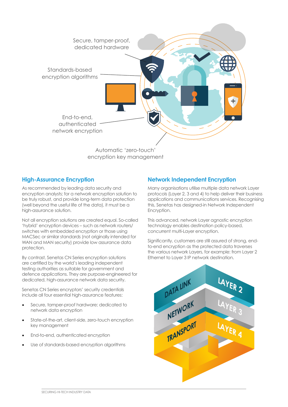

## **High-Assurance Encryption**

As recommended by leading data security and encryption analysts; for a network encryption solution to be truly robust, and provide long-term data protection (well beyond the useful life of the data), it must be a high-assurance solution.

Not all encryption solutions are created equal. So-called 'hybrid' encryption devices – such as network routers/ switches with embedded encryption or those using MACSec or similar standards (not originally intended for WAN and MAN security) provide low assurance data protection.

By contrast, Senetas CN Series encryption solutions are certified by the world's leading independent testing authorities as suitable for government and defence applications. They are purpose-engineered for dedicated, high-assurance network data security.

Senetas CN Series encryptors' security credentials include all four essential high-assurance features:

- Secure, tamper-proof hardware; dedicated to network data encryption
- State-of-the-art, client-side, zero-touch encryption key management
- End-to-end, authenticated encryption
- Use of standards-based encryption algorithms

## **Network Independent Encryption**

Many organisations utilise multiple data network Layer protocols (Layer 2, 3 and 4) to help deliver their business applications and communications services. Recognising this, Senetas has designed-in Network Independent Encryption.

This advanced, network Layer agnostic encryption technology enables destination policy-based, concurrent multi-Layer encryption.

Significantly, customers are still assured of strong, endto-end encryption as the protected data traverses the various network Layers, for example: from Layer 2 Ethernet to Layer 3 IP network destination.

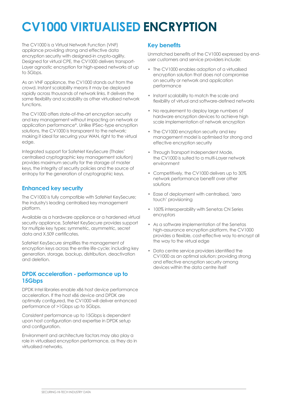## **CV1000 VIRTUALISED ENCRYPTION**

The CV1000 is a Virtual Network Function (VNF) appliance providing strong and effective data encryption security with designed-in crypto-agility. Designed for virtual CPE, the CV1000 delivers transport-Layer agnostic encryption for high-speed networks at up to 5Gbps.

As an VNF appliance, the CV1000 stands out from the crowd. Instant scalability means it may be deployed rapidly across thousands of network links. It delivers the same flexibility and scalability as other virtualised network functions.

The CV1000 offers state-of-the-art encryption security and key management without impacting on network or application performance\*. Unlike IPSec-type encryption solutions, the CV1000 is transparent to the network; making it ideal for securing your WAN, right to the virtual edge.

Integrated support for SafeNet KeySecure (Thales' centralised cryptographic key management solution) provides maximum security for the storage of master keys, the integrity of security policies and the source of entropy for the generation of cryptographic keys.

## **Enhanced key security**

The CV1000 is fully compatible with SafeNet KeySecure; the industry's leading centralised key management platform.

Available as a hardware appliance or a hardened virtual security appliance, SafeNet KeySecure provides support for multiple key types: symmetric, asymmetric, secret data and X.509 certificates.

SafeNet KeySecure simplifies the management of encryption keys across the entire life-cycle; including key generation, storage, backup, distribution, deactivation and deletion.

### **DPDK acceleration - performance up to 15Gbps**

DPDK Intel libraries enable x86 host device performance acceleration. If the host x86 device and DPDK are optimally configured, the CV1000 will deliver enhanced performance of >1Gbps up to 5Gbps.

Consistent performance up to 15Gbps is dependent upon host configuration and expertise in DPDK setup and configuration.

Environment and architecture factors may also play a role in virtualised encryption performance, as they do in virtualised networks.

## **Key benefits**

Unmatched benefits of the CV1000 expressed by enduser customers and service providers include:

- The CV1000 enables adoption of a virtualised encryption solution that does not compromise on security or network and application performance
- Instant scalability to match the scale and flexibility of virtual and software-defined networks
- No requirement to deploy large numbers of hardware encryption devices to achieve high scale implementation of network encryption
- The CV1000 encryption security and key management model is optimised for strong and effective encryption security
- Through Transport Independent Mode, the CV1000 is suited to a multi-Layer network environment
- Competitively, the CV1000 delivers up to 30% network performance benefit over other solutions
- Ease of deployment with centralised, 'zero touch' provisioning
- 100% interoperability with Senetas CN Series encryptors
- As a software implementation of the Senetas high-assurance encryption platform, the CV1000 provides a flexible, cost-effective way to encrypt all the way to the virtual edge
- Data centre service providers identified the CV1000 as an optimal solution; providing strong and effective encryption security among devices within the data centre itself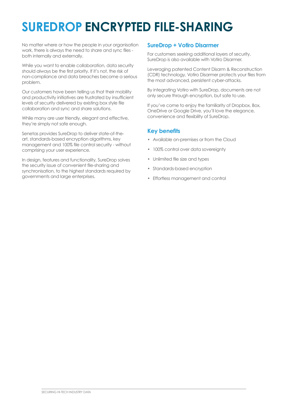## **SUREDROP ENCRYPTED FILE-SHARING**

No matter where or how the people in your organisation work, there is always the need to share and sync files both internally and externally.

While you want to enable collaboration, data security should always be the first priority. If it's not, the risk of non-compliance and data breaches become a serious problem.

Our customers have been telling us that their mobility and productivity initiatives are frustrated by insufficient levels of security delivered by existing box style file collaboration and sync and share solutions.

While many are user friendly, elegant and effective, they're simply not safe enough.

Senetas provides SureDrop to deliver state-of-theart, standards-based encryption algorithms, key management and 100% file control security - without comprising your user experience.

In design, features and functionality, SureDrop solves the security issue of convenient file-sharing and synchronisation, to the highest standards required by governments and large enterprises.

### **SureDrop + Votiro Disarmer**

For customers seeking additional layers of security, SureDrop is also available with Votiro Disarmer.

Leveraging patented Content Disarm & Reconstruction (CDR) technology, Votiro Disarmer protects your files from the most advanced, persistent cyber-attacks.

By integrating Votiro with SureDrop, documents are not only secure through encryption, but safe to use.

If you've come to enjoy the familiarity of Dropbox, Box, OneDrive or Google Drive, you'll love the elegance, convenience and flexibility of SureDrop.

## **Key benefits**

- Available on-premises or from the Cloud
- 100% control over data sovereignty
- Unlimited file size and types
- Standards-based encryption
- Effortless management and control